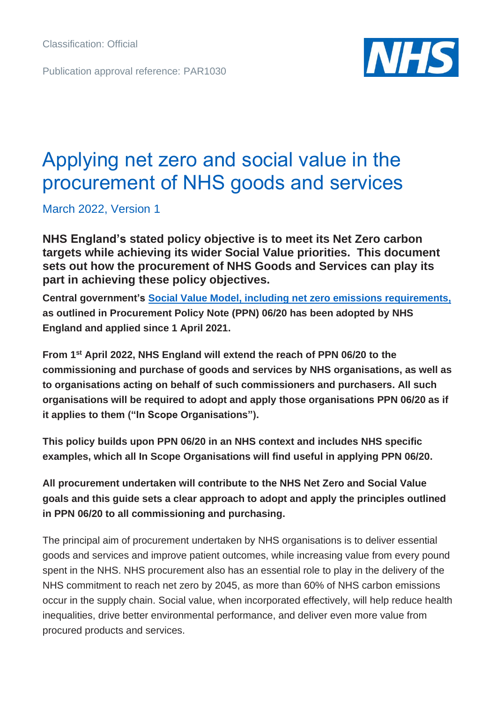Publication approval reference: PAR1030



# Applying net zero and social value in the procurement of NHS goods and services

March 2022, Version 1

**NHS England's stated policy objective is to meet its Net Zero carbon targets while achieving its wider Social Value priorities. This document sets out how the procurement of NHS Goods and Services can play its part in achieving these policy objectives.**

**Central government's [Social Value Model, including net zero](https://www.gov.uk/government/publications/procurement-policy-note-0620-taking-account-of-social-value-in-the-award-of-central-government-contracts) emissions requirements, as outlined in Procurement Policy Note (PPN) 06/20 has been adopted by NHS England and applied since 1 April 2021.**

**From 1st April 2022, NHS England will extend the reach of PPN 06/20 to the commissioning and purchase of goods and services by NHS organisations, as well as to organisations acting on behalf of such commissioners and purchasers. All such organisations will be required to adopt and apply those organisations PPN 06/20 as if it applies to them ("In Scope Organisations").** 

**This policy builds upon PPN 06/20 in an NHS context and includes NHS specific examples, which all In Scope Organisations will find useful in applying PPN 06/20.** 

**All procurement undertaken will contribute to the NHS Net Zero and Social Value goals and this guide sets a clear approach to adopt and apply the principles outlined in PPN 06/20 to all commissioning and purchasing.** 

The principal aim of procurement undertaken by NHS organisations is to deliver essential goods and services and improve patient outcomes, while increasing value from every pound spent in the NHS. NHS procurement also has an essential role to play in the delivery of the NHS commitment to reach net zero by 2045, as more than 60% of NHS carbon emissions occur in the supply chain. Social value, when incorporated effectively, will help reduce health inequalities, drive better environmental performance, and deliver even more value from procured products and services.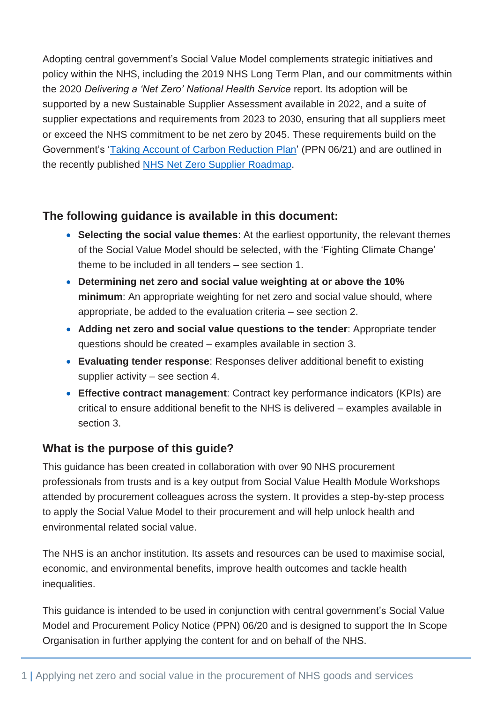Adopting central government's Social Value Model complements strategic initiatives and policy within the NHS, including the 2019 NHS Long Term Plan, and our commitments within the 2020 *Delivering a 'Net Zero' National Health Service* report. Its adoption will be supported by a new Sustainable Supplier Assessment available in 2022, and a suite of supplier expectations and requirements from 2023 to 2030, ensuring that all suppliers meet or exceed the NHS commitment to be net zero by 2045. These requirements build on the Government's ['Taking Account of Carbon Reduction Plan'](https://www.gov.uk/government/publications/procurement-policy-note-0621-taking-account-of-carbon-reduction-plans-in-the-procurement-of-major-government-contracts) (PPN 06/21) and are outlined in the recently published NHS [Net Zero Supplier Roadmap.](https://www.england.nhs.uk/greenernhs/get-involved/suppliers/)

### **The following guidance is available in this document:**

- **Selecting the social value themes**: At the earliest opportunity, the relevant themes of the Social Value Model should be selected, with the 'Fighting Climate Change' theme to be included in all tenders – see section 1.
- **Determining net zero and social value weighting at or above the 10% minimum**: An appropriate weighting for net zero and social value should, where appropriate, be added to the evaluation criteria – see section 2.
- **Adding net zero and social value questions to the tender**: Appropriate tender questions should be created – examples available in section 3.
- **Evaluating tender response**: Responses deliver additional benefit to existing supplier activity – see section 4.
- **Effective contract management**: Contract key performance indicators (KPIs) are critical to ensure additional benefit to the NHS is delivered – examples available in section 3.

### **What is the purpose of this guide?**

This guidance has been created in collaboration with over 90 NHS procurement professionals from trusts and is a key output from Social Value Health Module Workshops attended by procurement colleagues across the system. It provides a step-by-step process to apply the Social Value Model to their procurement and will help unlock health and environmental related social value.

The NHS is an anchor institution. Its assets and resources can be used to maximise social, economic, and environmental benefits, improve health outcomes and tackle health inequalities.

This guidance is intended to be used in conjunction with central government's Social Value Model and Procurement Policy Notice (PPN) 06/20 and is designed to support the In Scope Organisation in further applying the content for and on behalf of the NHS.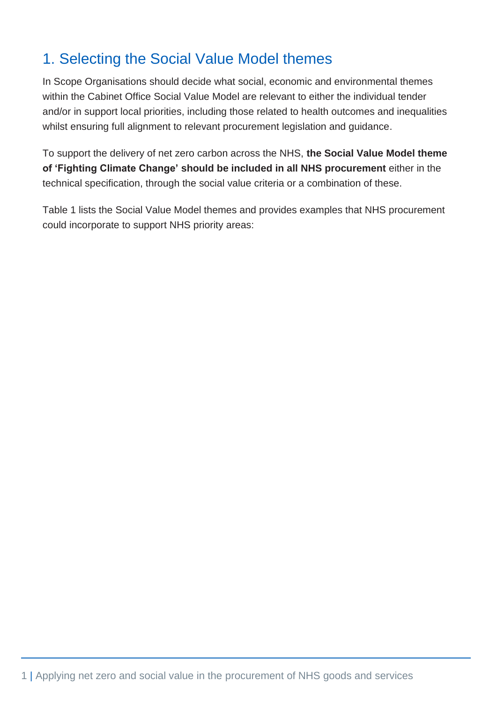# 1. Selecting the Social Value Model themes

In Scope Organisations should decide what social, economic and environmental themes within the Cabinet Office Social Value Model are relevant to either the individual tender and/or in support local priorities, including those related to health outcomes and inequalities whilst ensuring full alignment to relevant procurement legislation and guidance.

To support the delivery of net zero carbon across the NHS, **the Social Value Model theme of 'Fighting Climate Change' should be included in all NHS procurement** either in the technical specification, through the social value criteria or a combination of these.

Table 1 lists the Social Value Model themes and provides examples that NHS procurement could incorporate to support NHS priority areas: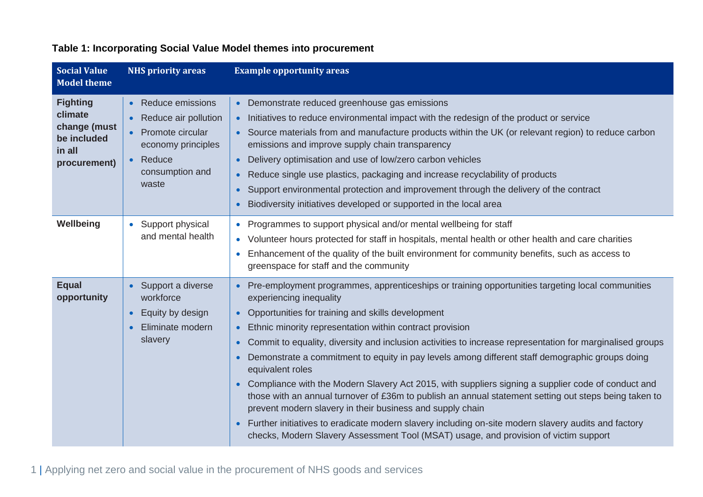| <b>Social Value</b><br><b>Model theme</b>                                           | <b>NHS priority areas</b>                                                                                                                                 | <b>Example opportunity areas</b>                                                                                                                                                                                                                                                                                                                                                                                                                                                                                                                                                                                                                                                                                                                                                                                                                                                                                                                                                                                                          |
|-------------------------------------------------------------------------------------|-----------------------------------------------------------------------------------------------------------------------------------------------------------|-------------------------------------------------------------------------------------------------------------------------------------------------------------------------------------------------------------------------------------------------------------------------------------------------------------------------------------------------------------------------------------------------------------------------------------------------------------------------------------------------------------------------------------------------------------------------------------------------------------------------------------------------------------------------------------------------------------------------------------------------------------------------------------------------------------------------------------------------------------------------------------------------------------------------------------------------------------------------------------------------------------------------------------------|
| <b>Fighting</b><br>climate<br>change (must<br>be included<br>in all<br>procurement) | <b>Reduce emissions</b><br>$\bullet$<br>Reduce air pollution<br>Promote circular<br>$\bullet$<br>economy principles<br>Reduce<br>consumption and<br>waste | Demonstrate reduced greenhouse gas emissions<br>• Initiatives to reduce environmental impact with the redesign of the product or service<br>Source materials from and manufacture products within the UK (or relevant region) to reduce carbon<br>emissions and improve supply chain transparency<br>Delivery optimisation and use of low/zero carbon vehicles<br>$\bullet$<br>Reduce single use plastics, packaging and increase recyclability of products<br>Support environmental protection and improvement through the delivery of the contract<br>$\bullet$<br>Biodiversity initiatives developed or supported in the local area                                                                                                                                                                                                                                                                                                                                                                                                    |
| Wellbeing                                                                           | Support physical<br>$\bullet$<br>and mental health                                                                                                        | Programmes to support physical and/or mental wellbeing for staff<br>• Volunteer hours protected for staff in hospitals, mental health or other health and care charities<br>Enhancement of the quality of the built environment for community benefits, such as access to<br>greenspace for staff and the community                                                                                                                                                                                                                                                                                                                                                                                                                                                                                                                                                                                                                                                                                                                       |
| <b>Equal</b><br>opportunity                                                         | Support a diverse<br>workforce<br>Equity by design<br>$\bullet$<br>Eliminate modern<br>$\bullet$<br>slavery                                               | Pre-employment programmes, apprenticeships or training opportunities targeting local communities<br>experiencing inequality<br>Opportunities for training and skills development<br>$\bullet$<br>Ethnic minority representation within contract provision<br>$\bullet$<br>Commit to equality, diversity and inclusion activities to increase representation for marginalised groups<br>$\bullet$<br>Demonstrate a commitment to equity in pay levels among different staff demographic groups doing<br>$\bullet$<br>equivalent roles<br>Compliance with the Modern Slavery Act 2015, with suppliers signing a supplier code of conduct and<br>$\bullet$<br>those with an annual turnover of £36m to publish an annual statement setting out steps being taken to<br>prevent modern slavery in their business and supply chain<br>Further initiatives to eradicate modern slavery including on-site modern slavery audits and factory<br>$\bullet$<br>checks, Modern Slavery Assessment Tool (MSAT) usage, and provision of victim support |

### **Table 1: Incorporating Social Value Model themes into procurement**

1 | Applying net zero and social value in the procurement of NHS goods and services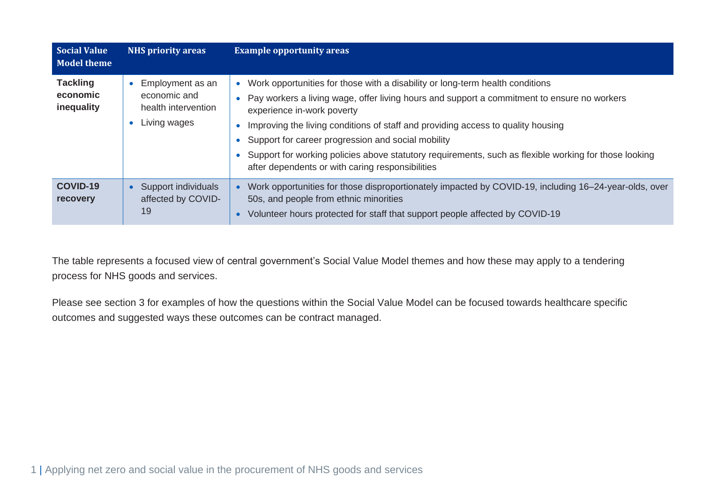| <b>Social Value</b><br><b>Model theme</b> | <b>NHS priority areas</b>                                                            | <b>Example opportunity areas</b>                                                                                                                                                                                                                                                                                                                                                                                                                                                                                                                         |
|-------------------------------------------|--------------------------------------------------------------------------------------|----------------------------------------------------------------------------------------------------------------------------------------------------------------------------------------------------------------------------------------------------------------------------------------------------------------------------------------------------------------------------------------------------------------------------------------------------------------------------------------------------------------------------------------------------------|
| <b>Tackling</b><br>economic<br>inequality | Employment as an<br>$\bullet$<br>economic and<br>health intervention<br>Living wages | Work opportunities for those with a disability or long-term health conditions<br>Pay workers a living wage, offer living hours and support a commitment to ensure no workers<br>$\bullet$<br>experience in-work poverty<br>Improving the living conditions of staff and providing access to quality housing<br>Support for career progression and social mobility<br>$\bullet$<br>Support for working policies above statutory requirements, such as flexible working for those looking<br>$\bullet$<br>after dependents or with caring responsibilities |
| <b>COVID-19</b><br>recovery               | Support individuals<br>$\bullet$<br>affected by COVID-<br>19                         | Work opportunities for those disproportionately impacted by COVID-19, including 16–24-year-olds, over<br>50s, and people from ethnic minorities<br>Volunteer hours protected for staff that support people affected by COVID-19                                                                                                                                                                                                                                                                                                                          |

The table represents a focused view of central government's Social Value Model themes and how these may apply to a tendering process for NHS goods and services.

Please see section 3 for examples of how the questions within the Social Value Model can be focused towards healthcare specific outcomes and suggested ways these outcomes can be contract managed.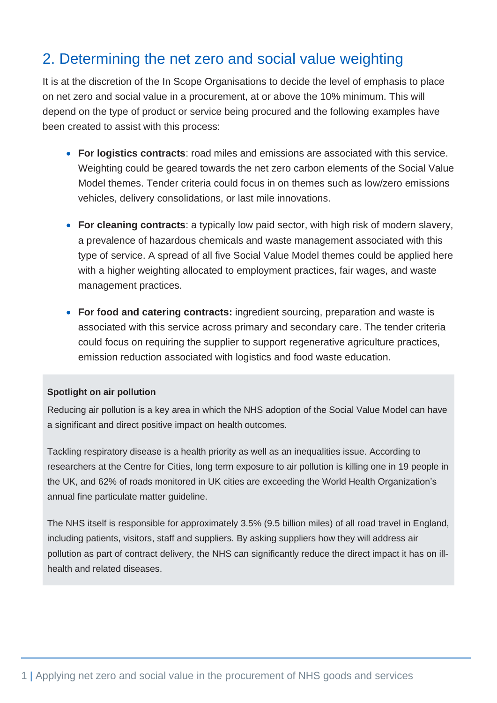## 2. Determining the net zero and social value weighting

It is at the discretion of the In Scope Organisations to decide the level of emphasis to place on net zero and social value in a procurement, at or above the 10% minimum. This will depend on the type of product or service being procured and the following examples have been created to assist with this process:

- **For logistics contracts**: road miles and emissions are associated with this service. Weighting could be geared towards the net zero carbon elements of the Social Value Model themes. Tender criteria could focus in on themes such as low/zero emissions vehicles, delivery consolidations, or last mile innovations.
- **For cleaning contracts**: a typically low paid sector, with high risk of modern slavery, a prevalence of hazardous chemicals and waste management associated with this type of service. A spread of all five Social Value Model themes could be applied here with a higher weighting allocated to employment practices, fair wages, and waste management practices.
- **For food and catering contracts:** ingredient sourcing, preparation and waste is associated with this service across primary and secondary care. The tender criteria could focus on requiring the supplier to support regenerative agriculture practices, emission reduction associated with logistics and food waste education.

#### **Spotlight on air pollution**

Reducing air pollution is a key area in which the NHS adoption of the Social Value Model can have a significant and direct positive impact on health outcomes.

Tackling respiratory disease is a health priority as well as an inequalities issue. According to researchers at the Centre for Cities, long term exposure to air pollution is killing one in 19 people in the UK, and 62% of roads monitored in UK cities are exceeding the World Health Organization's annual fine particulate matter guideline.

The NHS itself is responsible for approximately 3.5% (9.5 billion miles) of all road travel in England, including patients, visitors, staff and suppliers. By asking suppliers how they will address air pollution as part of contract delivery, the NHS can significantly reduce the direct impact it has on illhealth and related diseases.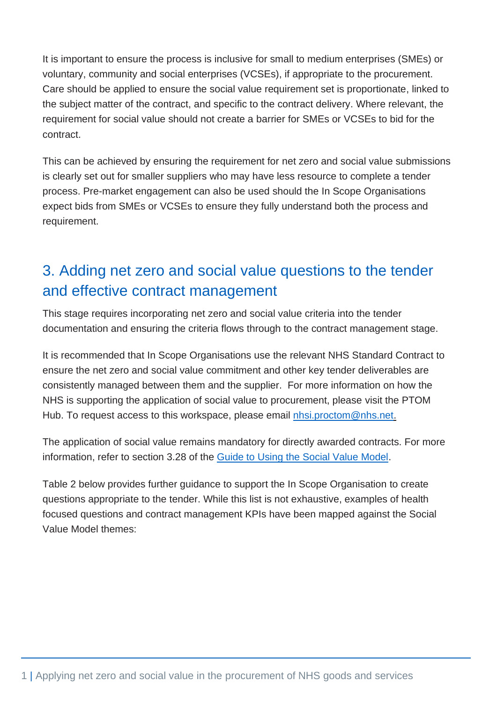It is important to ensure the process is inclusive for small to medium enterprises (SMEs) or voluntary, community and social enterprises (VCSEs), if appropriate to the procurement. Care should be applied to ensure the social value requirement set is proportionate, linked to the subject matter of the contract, and specific to the contract delivery. Where relevant, the requirement for social value should not create a barrier for SMEs or VCSEs to bid for the contract.

This can be achieved by ensuring the requirement for net zero and social value submissions is clearly set out for smaller suppliers who may have less resource to complete a tender process. Pre-market engagement can also be used should the In Scope Organisations expect bids from SMEs or VCSEs to ensure they fully understand both the process and requirement.

# 3. Adding net zero and social value questions to the tender and effective contract management

This stage requires incorporating net zero and social value criteria into the tender documentation and ensuring the criteria flows through to the contract management stage.

It is recommended that In Scope Organisations use the relevant NHS Standard Contract to ensure the net zero and social value commitment and other key tender deliverables are consistently managed between them and the supplier. For more information on how the NHS is supporting the application of social value to procurement, please visit the PTOM Hub. To request access to this workspace, please email nhsi.proctom@nhs.net.

The application of social value remains mandatory for directly awarded contracts. For more information, refer to section 3.28 of the [Guide to Using the Social Value Model.](https://assets.publishing.service.gov.uk/government/uploads/system/uploads/attachment_data/file/940827/Guide-to-using-the-Social-Value-Model-Edn-1.1-3-Dec-20.pdf)

Table 2 below provides further guidance to support the In Scope Organisation to create questions appropriate to the tender. While this list is not exhaustive, examples of health focused questions and contract management KPIs have been mapped against the Social Value Model themes: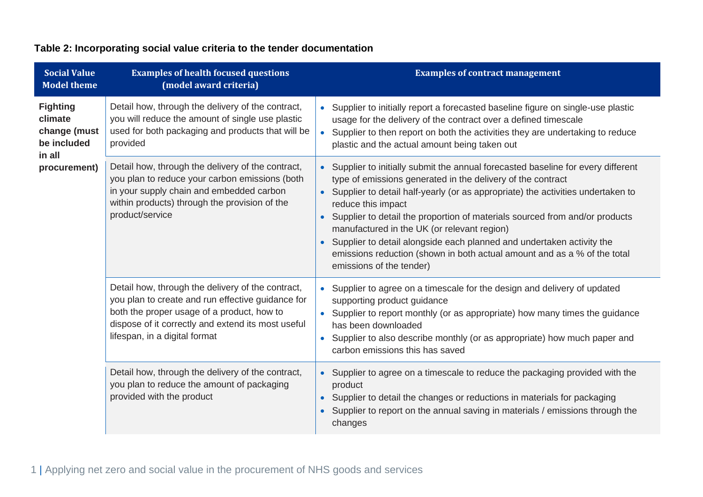### **Table 2: Incorporating social value criteria to the tender documentation**

| <b>Social Value</b><br><b>Model theme</b>                                           | <b>Examples of health focused questions</b><br>(model award criteria)                                                                                                                                                                       | <b>Examples of contract management</b>                                                                                                                                                                                                                                                                                                                                                                                                                                                                                                                                              |
|-------------------------------------------------------------------------------------|---------------------------------------------------------------------------------------------------------------------------------------------------------------------------------------------------------------------------------------------|-------------------------------------------------------------------------------------------------------------------------------------------------------------------------------------------------------------------------------------------------------------------------------------------------------------------------------------------------------------------------------------------------------------------------------------------------------------------------------------------------------------------------------------------------------------------------------------|
| <b>Fighting</b><br>climate<br>change (must<br>be included<br>in all<br>procurement) | Detail how, through the delivery of the contract,<br>you will reduce the amount of single use plastic<br>used for both packaging and products that will be<br>provided                                                                      | Supplier to initially report a forecasted baseline figure on single-use plastic<br>$\bullet$<br>usage for the delivery of the contract over a defined timescale<br>Supplier to then report on both the activities they are undertaking to reduce<br>$\bullet$<br>plastic and the actual amount being taken out                                                                                                                                                                                                                                                                      |
|                                                                                     | Detail how, through the delivery of the contract,<br>you plan to reduce your carbon emissions (both<br>in your supply chain and embedded carbon<br>within products) through the provision of the<br>product/service                         | Supplier to initially submit the annual forecasted baseline for every different<br>type of emissions generated in the delivery of the contract<br>Supplier to detail half-yearly (or as appropriate) the activities undertaken to<br>$\bullet$<br>reduce this impact<br>Supplier to detail the proportion of materials sourced from and/or products<br>manufactured in the UK (or relevant region)<br>Supplier to detail alongside each planned and undertaken activity the<br>emissions reduction (shown in both actual amount and as a % of the total<br>emissions of the tender) |
|                                                                                     | Detail how, through the delivery of the contract,<br>you plan to create and run effective guidance for<br>both the proper usage of a product, how to<br>dispose of it correctly and extend its most useful<br>lifespan, in a digital format | Supplier to agree on a timescale for the design and delivery of updated<br>$\bullet$<br>supporting product guidance<br>Supplier to report monthly (or as appropriate) how many times the guidance<br>has been downloaded<br>Supplier to also describe monthly (or as appropriate) how much paper and<br>$\bullet$<br>carbon emissions this has saved                                                                                                                                                                                                                                |
|                                                                                     | Detail how, through the delivery of the contract,<br>you plan to reduce the amount of packaging<br>provided with the product                                                                                                                | Supplier to agree on a timescale to reduce the packaging provided with the<br>$\bullet$<br>product<br>Supplier to detail the changes or reductions in materials for packaging<br>$\bullet$<br>Supplier to report on the annual saving in materials / emissions through the<br>changes                                                                                                                                                                                                                                                                                               |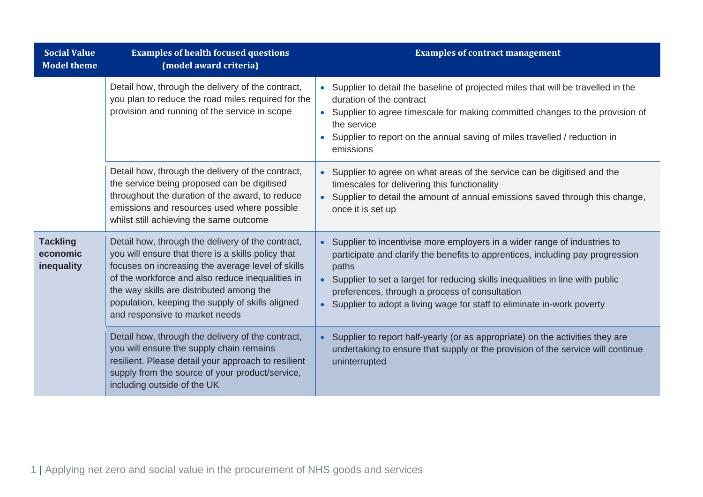| <b>Social Value</b><br><b>Model theme</b> | <b>Examples of health focused questions</b><br>(model award criteria)                                                                                                                                                                                                                                                                              | <b>Examples of contract management</b>                                                                                                                                                                                                                                                                                                                                                          |
|-------------------------------------------|----------------------------------------------------------------------------------------------------------------------------------------------------------------------------------------------------------------------------------------------------------------------------------------------------------------------------------------------------|-------------------------------------------------------------------------------------------------------------------------------------------------------------------------------------------------------------------------------------------------------------------------------------------------------------------------------------------------------------------------------------------------|
|                                           | Detail how, through the delivery of the contract,<br>you plan to reduce the road miles required for the<br>provision and running of the service in scope                                                                                                                                                                                           | • Supplier to detail the baseline of projected miles that will be travelled in the<br>duration of the contract<br>Supplier to agree timescale for making committed changes to the provision of<br>$\bullet$<br>the service<br>Supplier to report on the annual saving of miles travelled / reduction in<br>$\bullet$<br>emissions                                                               |
|                                           | Detail how, through the delivery of the contract,<br>the service being proposed can be digitised<br>throughout the duration of the award, to reduce<br>emissions and resources used where possible<br>whilst still achieving the same outcome                                                                                                      | • Supplier to agree on what areas of the service can be digitised and the<br>timescales for delivering this functionality<br>Supplier to detail the amount of annual emissions saved through this change,<br>once it is set up                                                                                                                                                                  |
| <b>Tackling</b><br>economic<br>inequality | Detail how, through the delivery of the contract,<br>you will ensure that there is a skills policy that<br>focuses on increasing the average level of skills<br>of the workforce and also reduce inequalities in<br>the way skills are distributed among the<br>population, keeping the supply of skills aligned<br>and responsive to market needs | Supplier to incentivise more employers in a wider range of industries to<br>$\bullet$<br>participate and clarify the benefits to apprentices, including pay progression<br>paths<br>• Supplier to set a target for reducing skills inequalities in line with public<br>preferences, through a process of consultation<br>Supplier to adopt a living wage for staff to eliminate in-work poverty |
|                                           | Detail how, through the delivery of the contract,<br>you will ensure the supply chain remains<br>resilient. Please detail your approach to resilient<br>supply from the source of your product/service,<br>including outside of the UK                                                                                                             | Supplier to report half-yearly (or as appropriate) on the activities they are<br>undertaking to ensure that supply or the provision of the service will continue<br>uninterrupted                                                                                                                                                                                                               |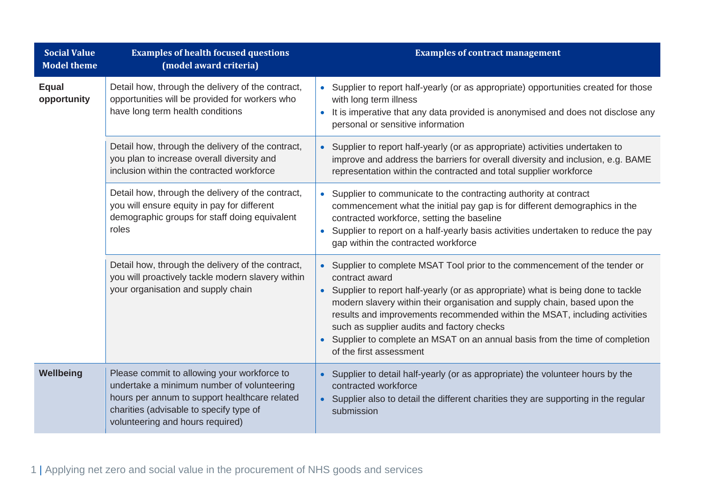| <b>Social Value</b><br><b>Model theme</b> | <b>Examples of health focused questions</b><br>(model award criteria)                                                                                                                                                     | <b>Examples of contract management</b>                                                                                                                                                                                                                                                                                                                                                                                                                                                                                      |
|-------------------------------------------|---------------------------------------------------------------------------------------------------------------------------------------------------------------------------------------------------------------------------|-----------------------------------------------------------------------------------------------------------------------------------------------------------------------------------------------------------------------------------------------------------------------------------------------------------------------------------------------------------------------------------------------------------------------------------------------------------------------------------------------------------------------------|
| <b>Equal</b><br>opportunity               | Detail how, through the delivery of the contract,<br>opportunities will be provided for workers who<br>have long term health conditions                                                                                   | Supplier to report half-yearly (or as appropriate) opportunities created for those<br>$\bullet$<br>with long term illness<br>It is imperative that any data provided is anonymised and does not disclose any<br>$\bullet$<br>personal or sensitive information                                                                                                                                                                                                                                                              |
|                                           | Detail how, through the delivery of the contract,<br>you plan to increase overall diversity and<br>inclusion within the contracted workforce                                                                              | Supplier to report half-yearly (or as appropriate) activities undertaken to<br>$\bullet$<br>improve and address the barriers for overall diversity and inclusion, e.g. BAME<br>representation within the contracted and total supplier workforce                                                                                                                                                                                                                                                                            |
|                                           | Detail how, through the delivery of the contract,<br>you will ensure equity in pay for different<br>demographic groups for staff doing equivalent<br>roles                                                                | Supplier to communicate to the contracting authority at contract<br>$\bullet$<br>commencement what the initial pay gap is for different demographics in the<br>contracted workforce, setting the baseline<br>Supplier to report on a half-yearly basis activities undertaken to reduce the pay<br>$\bullet$<br>gap within the contracted workforce                                                                                                                                                                          |
|                                           | Detail how, through the delivery of the contract,<br>you will proactively tackle modern slavery within<br>your organisation and supply chain                                                                              | Supplier to complete MSAT Tool prior to the commencement of the tender or<br>$\bullet$<br>contract award<br>Supplier to report half-yearly (or as appropriate) what is being done to tackle<br>$\bullet$<br>modern slavery within their organisation and supply chain, based upon the<br>results and improvements recommended within the MSAT, including activities<br>such as supplier audits and factory checks<br>Supplier to complete an MSAT on an annual basis from the time of completion<br>of the first assessment |
| Wellbeing                                 | Please commit to allowing your workforce to<br>undertake a minimum number of volunteering<br>hours per annum to support healthcare related<br>charities (advisable to specify type of<br>volunteering and hours required) | Supplier to detail half-yearly (or as appropriate) the volunteer hours by the<br>contracted workforce<br>Supplier also to detail the different charities they are supporting in the regular<br>$\bullet$<br>submission                                                                                                                                                                                                                                                                                                      |

1 | Applying net zero and social value in the procurement of NHS goods and services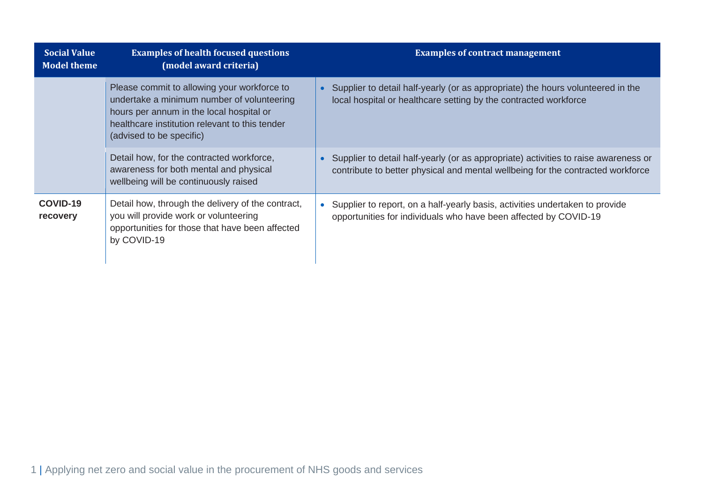| <b>Social Value</b><br><b>Model theme</b> | <b>Examples of health focused questions</b><br>(model award criteria)                                                                                                                                               | <b>Examples of contract management</b>                                                                                                                                 |
|-------------------------------------------|---------------------------------------------------------------------------------------------------------------------------------------------------------------------------------------------------------------------|------------------------------------------------------------------------------------------------------------------------------------------------------------------------|
|                                           | Please commit to allowing your workforce to<br>undertake a minimum number of volunteering<br>hours per annum in the local hospital or<br>healthcare institution relevant to this tender<br>(advised to be specific) | Supplier to detail half-yearly (or as appropriate) the hours volunteered in the<br>local hospital or healthcare setting by the contracted workforce                    |
|                                           | Detail how, for the contracted workforce,<br>awareness for both mental and physical<br>wellbeing will be continuously raised                                                                                        | Supplier to detail half-yearly (or as appropriate) activities to raise awareness or<br>contribute to better physical and mental wellbeing for the contracted workforce |
| COVID-19<br>recovery                      | Detail how, through the delivery of the contract,<br>you will provide work or volunteering<br>opportunities for those that have been affected<br>by COVID-19                                                        | Supplier to report, on a half-yearly basis, activities undertaken to provide<br>opportunities for individuals who have been affected by COVID-19                       |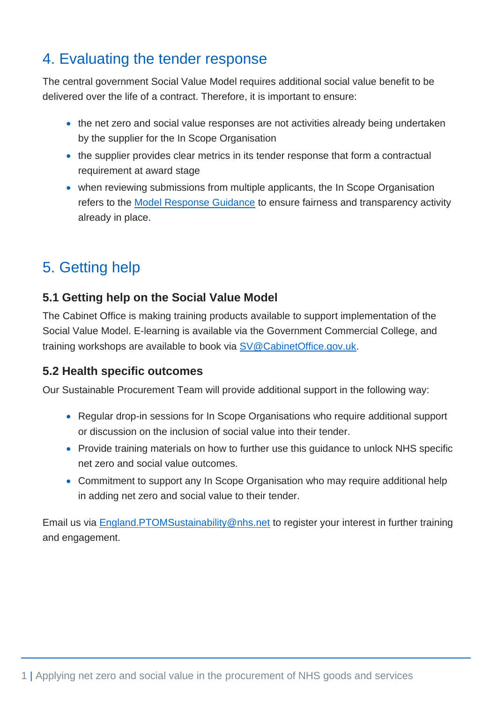# 4. Evaluating the tender response

The central government Social Value Model requires additional social value benefit to be delivered over the life of a contract. Therefore, it is important to ensure:

- the net zero and social value responses are not activities already being undertaken by the supplier for the In Scope Organisation
- the supplier provides clear metrics in its tender response that form a contractual requirement at award stage
- when reviewing submissions from multiple applicants, the In Scope Organisation refers to the [Model Response Guidance](https://assets.publishing.service.gov.uk/government/uploads/system/uploads/attachment_data/file/940826/Social-Value-Model-Edn-1.1-3-Dec-20.pdf) to ensure fairness and transparency activity already in place.

# 5. Getting help

### **5.1 Getting help on the Social Value Model**

The Cabinet Office is making training products available to support implementation of the Social Value Model. E-learning is available via the Government Commercial College, and training workshops are available to book via [SV@CabinetOffice.gov.uk.](about:blank)

### **5.2 Health specific outcomes**

Our Sustainable Procurement Team will provide additional support in the following way:

- Regular drop-in sessions for In Scope Organisations who require additional support or discussion on the inclusion of social value into their tender.
- Provide training materials on how to further use this guidance to unlock NHS specific net zero and social value outcomes.
- Commitment to support any In Scope Organisation who may require additional help in adding net zero and social value to their tender.

Email us via England.PTOMSustainability@nhs.net to register your interest in further training and engagement.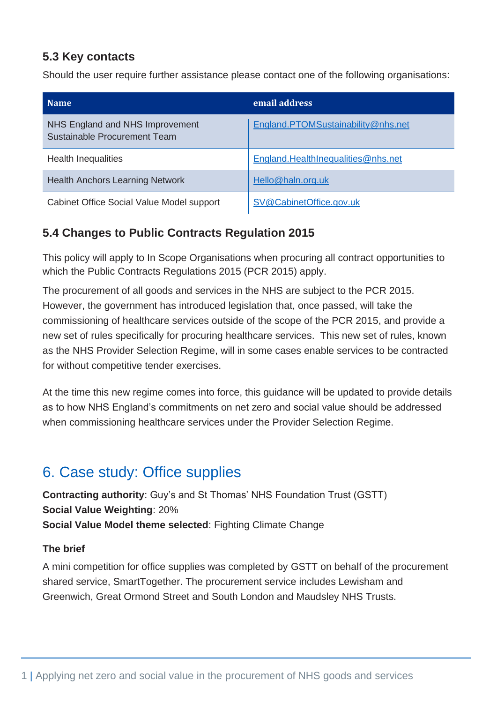### **5.3 Key contacts**

Should the user require further assistance please contact one of the following organisations:

| <b>Name</b>                                                     | email address                      |
|-----------------------------------------------------------------|------------------------------------|
| NHS England and NHS Improvement<br>Sustainable Procurement Team | England.PTOMSustainability@nhs.net |
| <b>Health Inequalities</b>                                      | England.HealthInequalities@nhs.net |
| <b>Health Anchors Learning Network</b>                          | Hello@haln.org.uk                  |
| Cabinet Office Social Value Model support                       | SV@CabinetOffice.gov.uk            |

### **5.4 Changes to Public Contracts Regulation 2015**

This policy will apply to In Scope Organisations when procuring all contract opportunities to which the Public Contracts Regulations 2015 (PCR 2015) apply.

The procurement of all goods and services in the NHS are subject to the PCR 2015. However, the government has introduced legislation that, once passed, will take the commissioning of healthcare services outside of the scope of the PCR 2015, and provide a new set of rules specifically for procuring healthcare services. This new set of rules, known as the NHS Provider Selection Regime, will in some cases enable services to be contracted for without competitive tender exercises.

At the time this new regime comes into force, this guidance will be updated to provide details as to how NHS England's commitments on net zero and social value should be addressed when commissioning healthcare services under the Provider Selection Regime.

## 6. Case study: Office supplies

**Contracting authority**: Guy's and St Thomas' NHS Foundation Trust (GSTT) **Social Value Weighting**: 20% **Social Value Model theme selected**: Fighting Climate Change

#### **The brief**

A mini competition for office supplies was completed by GSTT on behalf of the procurement shared service, SmartTogether. The procurement service includes Lewisham and Greenwich, Great Ormond Street and South London and Maudsley NHS Trusts.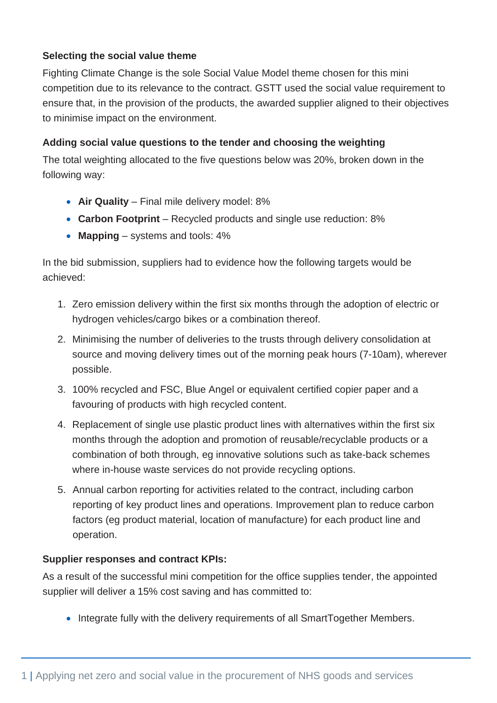#### **Selecting the social value theme**

Fighting Climate Change is the sole Social Value Model theme chosen for this mini competition due to its relevance to the contract. GSTT used the social value requirement to ensure that, in the provision of the products, the awarded supplier aligned to their objectives to minimise impact on the environment.

#### **Adding social value questions to the tender and choosing the weighting**

The total weighting allocated to the five questions below was 20%, broken down in the following way:

- **Air Quality** Final mile delivery model: 8%
- **Carbon Footprint** Recycled products and single use reduction: 8%
- **Mapping** systems and tools: 4%

In the bid submission, suppliers had to evidence how the following targets would be achieved:

- 1. Zero emission delivery within the first six months through the adoption of electric or hydrogen vehicles/cargo bikes or a combination thereof.
- 2. Minimising the number of deliveries to the trusts through delivery consolidation at source and moving delivery times out of the morning peak hours (7-10am), wherever possible.
- 3. 100% recycled and FSC, Blue Angel or equivalent certified copier paper and a favouring of products with high recycled content.
- 4. Replacement of single use plastic product lines with alternatives within the first six months through the adoption and promotion of reusable/recyclable products or a combination of both through, eg innovative solutions such as take-back schemes where in-house waste services do not provide recycling options.
- 5. Annual carbon reporting for activities related to the contract, including carbon reporting of key product lines and operations. Improvement plan to reduce carbon factors (eg product material, location of manufacture) for each product line and operation.

#### **Supplier responses and contract KPIs:**

As a result of the successful mini competition for the office supplies tender, the appointed supplier will deliver a 15% cost saving and has committed to:

• Integrate fully with the delivery requirements of all SmartTogether Members.